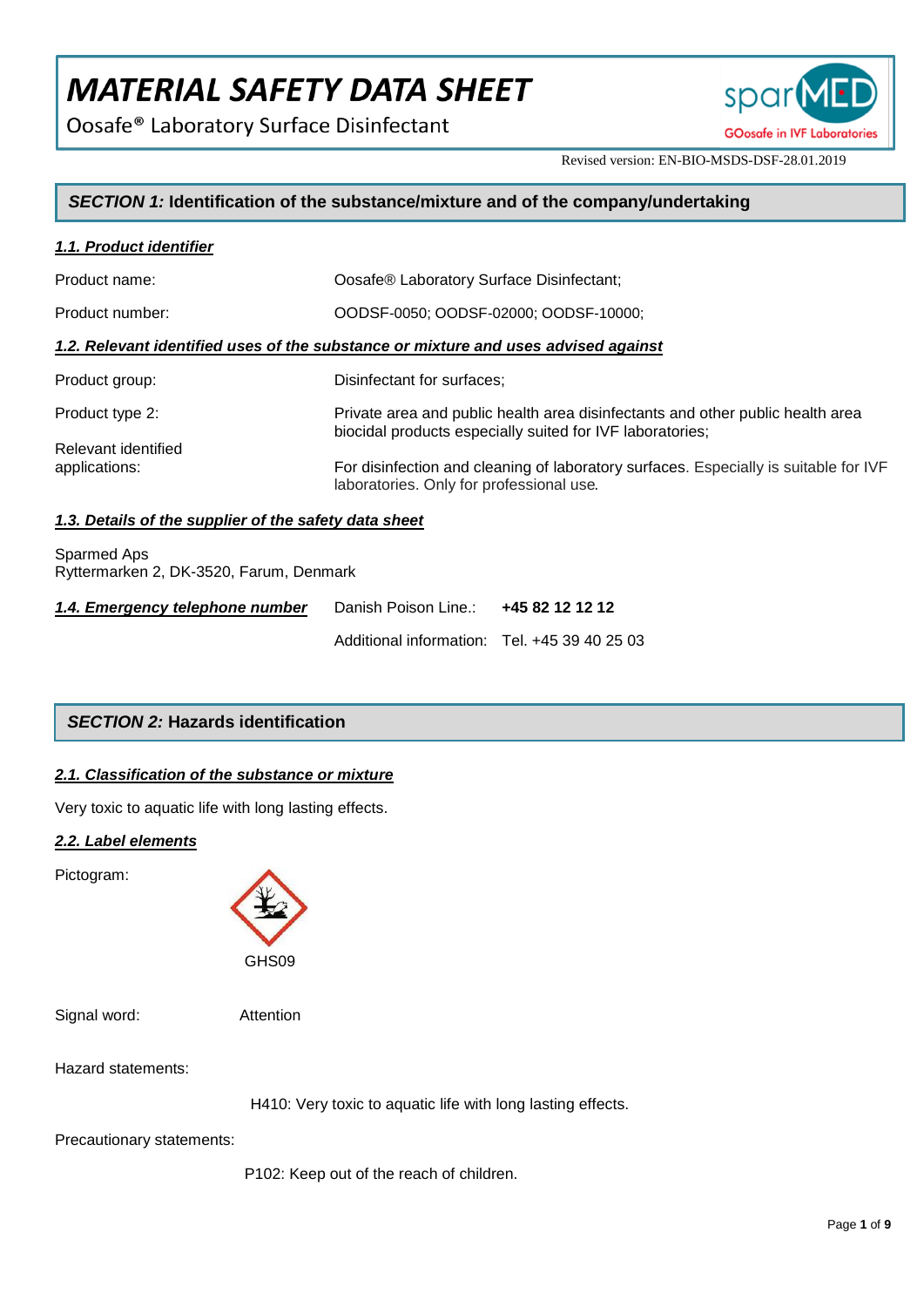Oosafe® Laboratory Surface Disinfectant



Revised version: EN-BIO-MSDS-DSF-28.01.2019

## *SECTION 1:* **Identification of the substance/mixture and of the company/undertaking**

| 1.1. Product identifier                                                            |                                                                                                                                             |  |
|------------------------------------------------------------------------------------|---------------------------------------------------------------------------------------------------------------------------------------------|--|
| Product name:                                                                      | Oosafe® Laboratory Surface Disinfectant;                                                                                                    |  |
| Product number:                                                                    | OODSF-0050; OODSF-02000; OODSF-10000;                                                                                                       |  |
| 1.2. Relevant identified uses of the substance or mixture and uses advised against |                                                                                                                                             |  |
| Product group:                                                                     | Disinfectant for surfaces;                                                                                                                  |  |
| Product type 2:                                                                    | Private area and public health area disinfectants and other public health area<br>biocidal products especially suited for IVF laboratories; |  |
| Relevant identified<br>applications:                                               | For disinfection and cleaning of laboratory surfaces. Especially is suitable for IVF<br>laboratories. Only for professional use.            |  |

## *1.3. Details of the supplier of the safety data sheet*

Sparmed Aps Ryttermarken 2, DK-3520, Farum, Denmark

| 1.4. Emergency telephone number | Danish Poison Line.: 445 82 12 12 12         |  |
|---------------------------------|----------------------------------------------|--|
|                                 | Additional information: Tel. +45 39 40 25 03 |  |

## *SECTION 2:* **Hazards identification**

## *2.1. Classification of the substance or mixture*

Very toxic to aquatic life with long lasting effects.

## *2.2. Label elements*

Pictogram:



Signal word: Attention

Hazard statements:

H410: Very toxic to aquatic life with long lasting effects.

Precautionary statements:

P102: Keep out of the reach of children.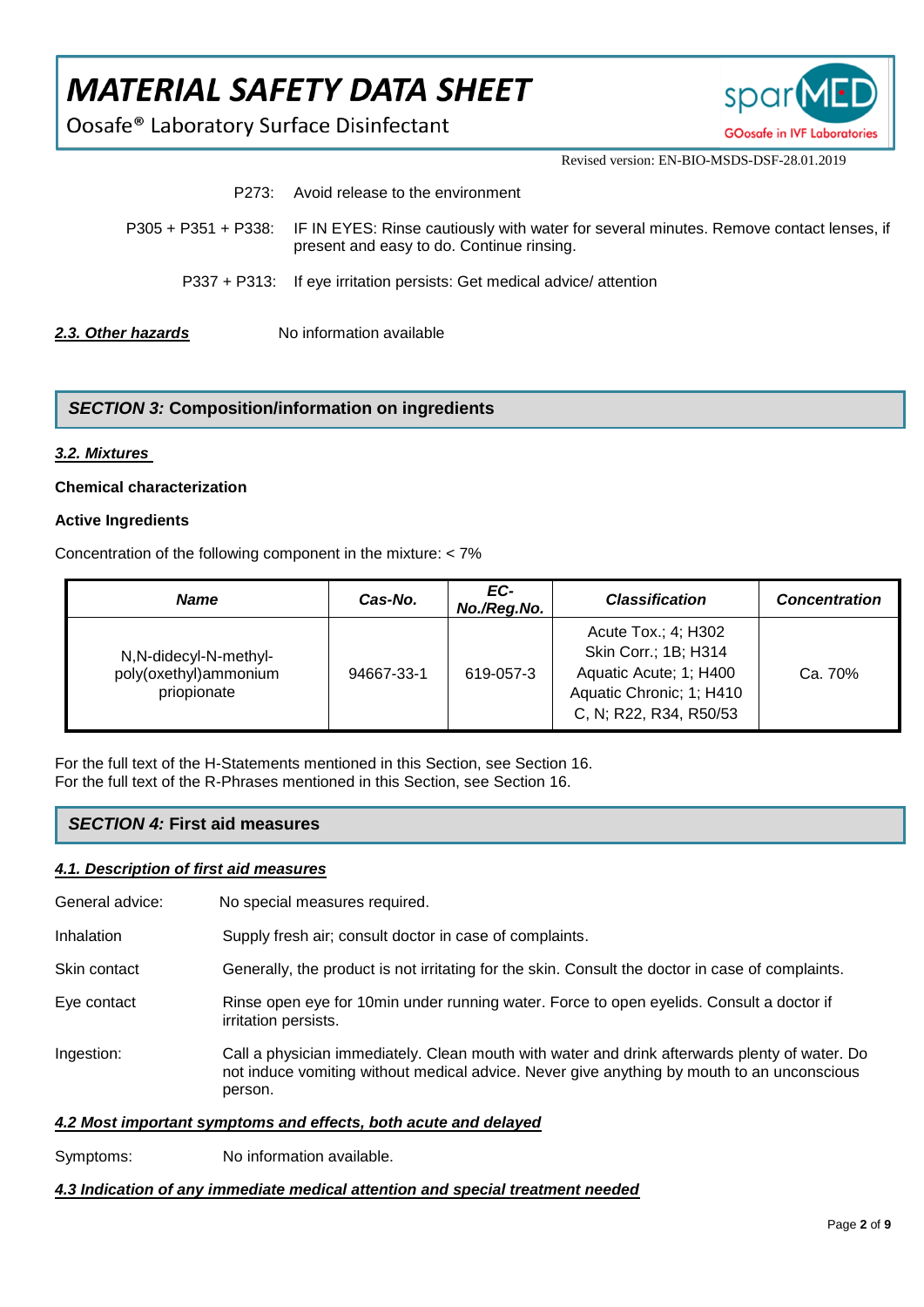Oosafe® Laboratory Surface Disinfectant



Revised version: EN-BIO-MSDS-DSF-28.01.2019

| 2.3. Other hazards | No information available                                                                                                                                |
|--------------------|---------------------------------------------------------------------------------------------------------------------------------------------------------|
|                    | P337 + P313: If eye irritation persists: Get medical advice/ attention                                                                                  |
|                    | P305 + P351 + P338: IF IN EYES: Rinse cautiously with water for several minutes. Remove contact lenses, if<br>present and easy to do. Continue rinsing. |
| P273:              | Avoid release to the environment                                                                                                                        |

## *SECTION 3:* **Composition/information on ingredients**

#### *3.2. Mixtures*

#### **Chemical characterization**

#### **Active Ingredients**

Concentration of the following component in the mixture: < 7%

| <b>Name</b>                                                    | Cas-No.    | EC-<br>No./Reg.No. | <b>Classification</b>                                                                                                       | <b>Concentration</b> |
|----------------------------------------------------------------|------------|--------------------|-----------------------------------------------------------------------------------------------------------------------------|----------------------|
| N, N-didecyl-N-methyl-<br>poly(oxethyl)ammonium<br>priopionate | 94667-33-1 | 619-057-3          | Acute Tox.; 4; H302<br>Skin Corr.; 1B; H314<br>Aquatic Acute; 1; H400<br>Aquatic Chronic; 1; H410<br>C, N; R22, R34, R50/53 | Ca. 70%              |

For the full text of the H-Statements mentioned in this Section, see Section 16. For the full text of the R-Phrases mentioned in this Section, see Section 16.

## *SECTION 4:* **First aid measures**

#### *4.1. Description of first aid measures*

General advice: No special measures required.

Inhalation Supply fresh air; consult doctor in case of complaints.

- Skin contact Generally, the product is not irritating for the skin. Consult the doctor in case of complaints.
- Eye contact Rinse open eye for 10min under running water. Force to open eyelids. Consult a doctor if irritation persists.
- Ingestion: Call a physician immediately. Clean mouth with water and drink afterwards plenty of water. Do not induce vomiting without medical advice. Never give anything by mouth to an unconscious person.

## *4.2 Most important symptoms and effects, both acute and delayed*

Symptoms: No information available.

*4.3 Indication of any immediate medical attention and special treatment needed*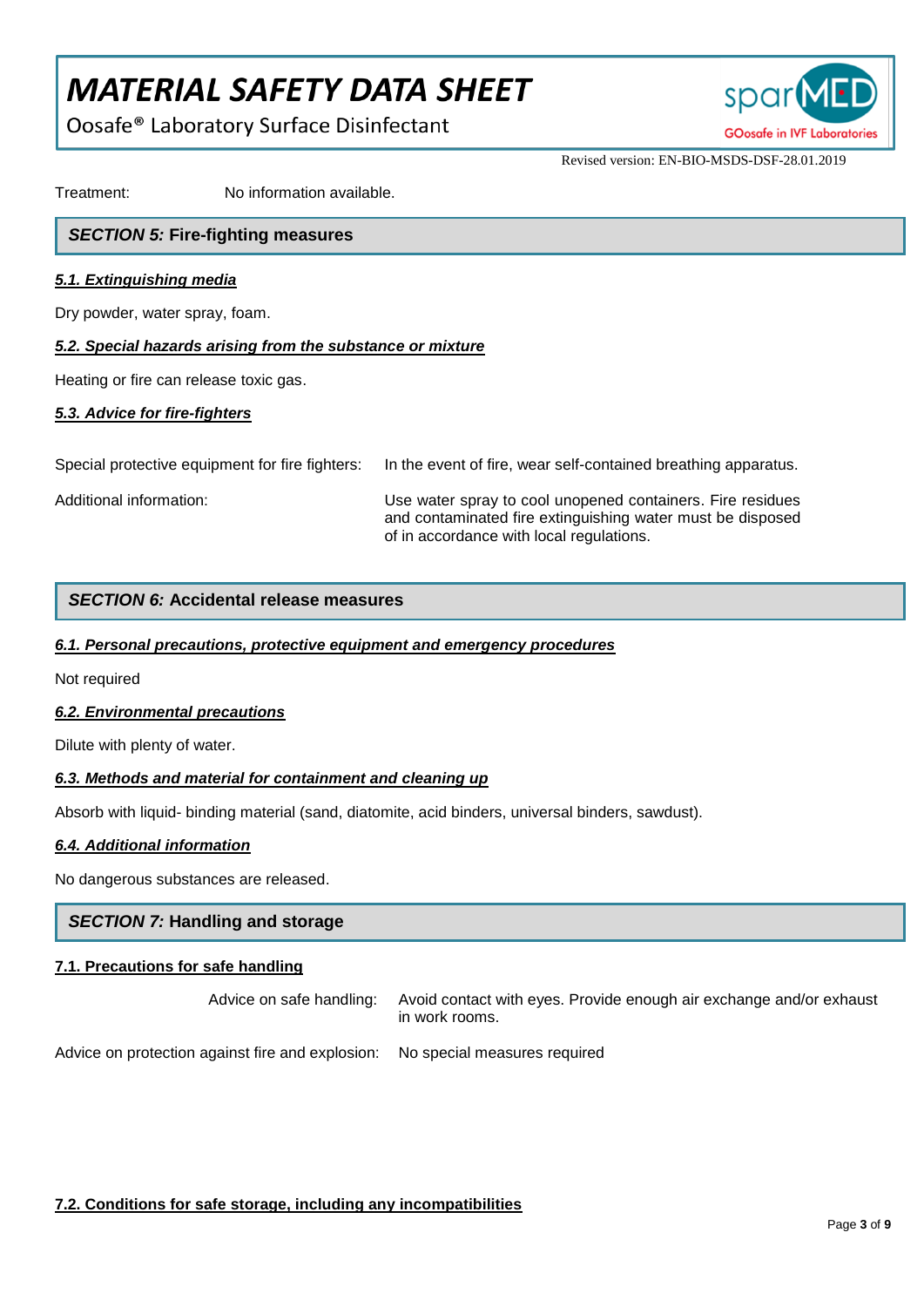Oosafe® Laboratory Surface Disinfectant



Revised version: EN-BIO-MSDS-DSF-28.01.2019

Treatment: No information available.

## *SECTION 5:* **Fire-fighting measures**

## *5.1. Extinguishing media*

Dry powder, water spray, foam.

## *5.2. Special hazards arising from the substance or mixture*

Heating or fire can release toxic gas.

## *5.3. Advice for fire-fighters*

Special protective equipment for fire fighters: In the event of fire, wear self-contained breathing apparatus.

Additional information: Use water spray to cool unopened containers. Fire residues and contaminated fire extinguishing water must be disposed of in accordance with local regulations.

## *SECTION 6:* **Accidental release measures**

## *6.1. Personal precautions, protective equipment and emergency procedures*

Not required

## *6.2. Environmental precautions*

Dilute with plenty of water.

## *6.3. Methods and material for containment and cleaning up*

Absorb with liquid- binding material (sand, diatomite, acid binders, universal binders, sawdust).

## *6.4. Additional information*

No dangerous substances are released.

## *SECTION 7:* **Handling and storage**

## **7.1. Precautions for safe handling**

Advice on safe handling: Avoid contact with eyes. Provide enough air exchange and/or exhaust in work rooms.

Advice on protection against fire and explosion: No special measures required

## **7.2. Conditions for safe storage, including any incompatibilities**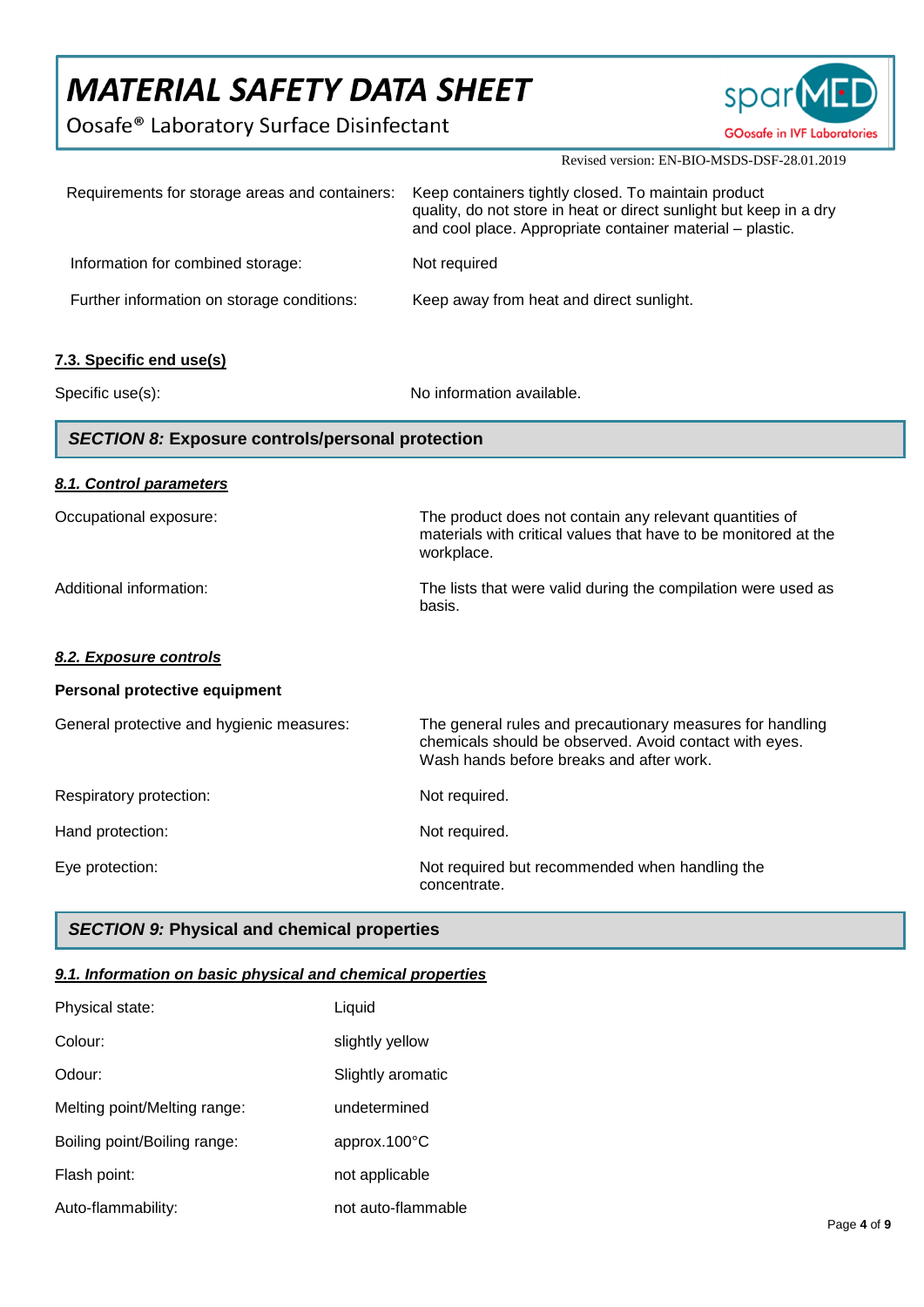Oosafe® Laboratory Surface Disinfectant



Revised version: EN-BIO-MSDS-DSF-28.01.2019

| Requirements for storage areas and containers:          | Keep containers tightly closed. To maintain product<br>quality, do not store in heat or direct sunlight but keep in a dry<br>and cool place. Appropriate container material - plastic. |
|---------------------------------------------------------|----------------------------------------------------------------------------------------------------------------------------------------------------------------------------------------|
| Information for combined storage:                       | Not required                                                                                                                                                                           |
| Further information on storage conditions:              | Keep away from heat and direct sunlight.                                                                                                                                               |
| 7.3. Specific end use(s)                                |                                                                                                                                                                                        |
| Specific use(s):                                        | No information available.                                                                                                                                                              |
| <b>SECTION 8: Exposure controls/personal protection</b> |                                                                                                                                                                                        |
| 8.1. Control parameters                                 |                                                                                                                                                                                        |
| Occupational exposure:                                  | The product does not contain any relevant quantities of<br>materials with critical values that have to be monitored at the<br>workplace.                                               |
| Additional information:                                 | The lists that were valid during the compilation were used as<br>basis.                                                                                                                |
| 8.2. Exposure controls                                  |                                                                                                                                                                                        |
| Personal protective equipment                           |                                                                                                                                                                                        |
| General protective and hygienic measures:               | The general rules and precautionary measures for handling<br>chemicals should be observed. Avoid contact with eyes.<br>Wash hands before breaks and after work.                        |
| Respiratory protection:                                 | Not required.                                                                                                                                                                          |
| Hand protection:                                        | Not required.                                                                                                                                                                          |
| Eye protection:                                         | Not required but recommended when handling the<br>concentrate.                                                                                                                         |

## *SECTION 9:* **Physical and chemical properties**

## *9.1. Information on basic physical and chemical properties*

| Physical state:              | Liquid                 |
|------------------------------|------------------------|
| Colour:                      | slightly yellow        |
| Odour:                       | Slightly aromatic      |
| Melting point/Melting range: | undetermined           |
| Boiling point/Boiling range: | approx.100 $\degree$ C |
| Flash point:                 | not applicable         |
| Auto-flammability:           | not auto-flammable     |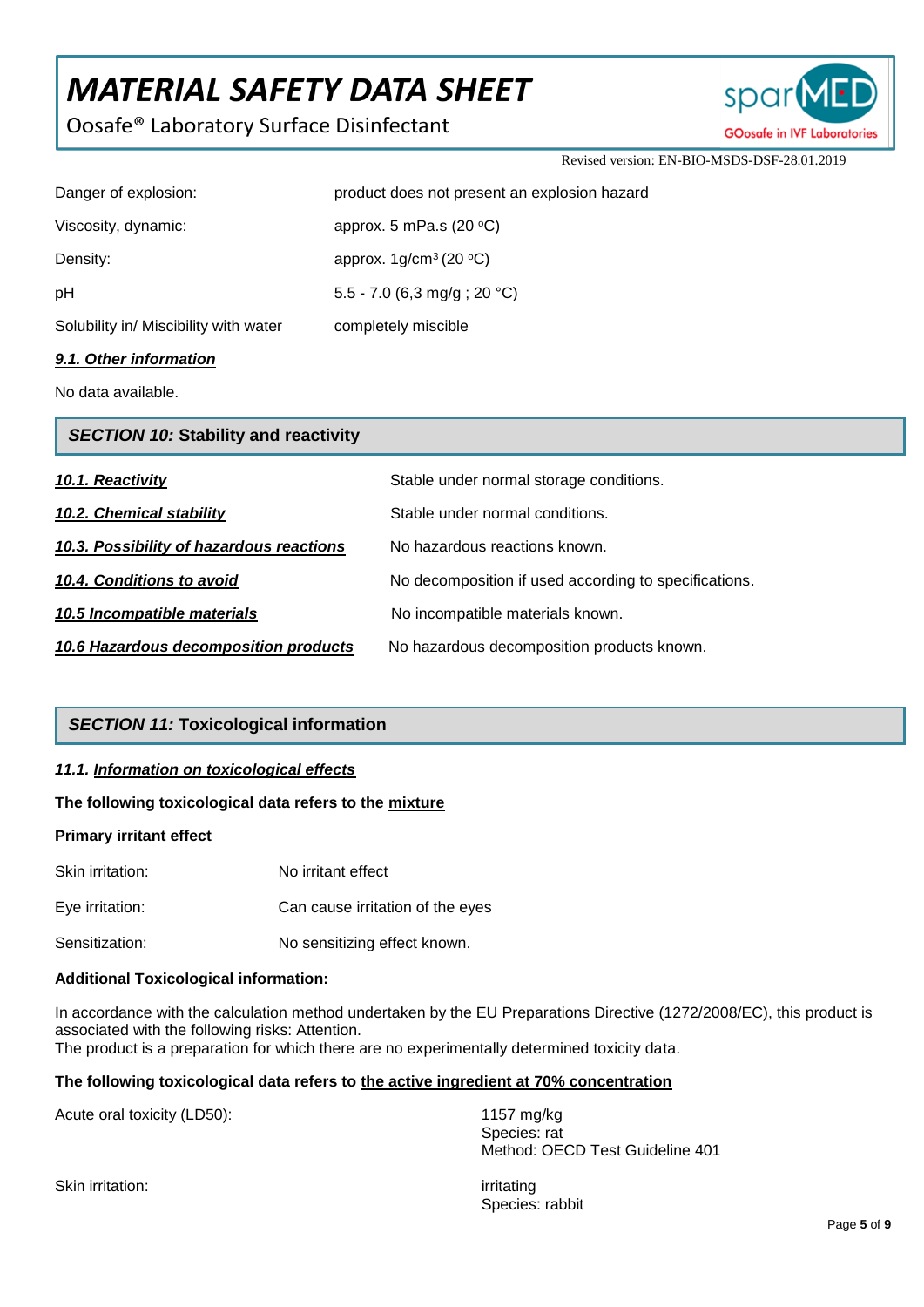Oosafe® Laboratory Surface Disinfectant



Revised version: EN-BIO-MSDS-DSF-28.01.2019

| A de Athen information                |                                              |
|---------------------------------------|----------------------------------------------|
| Solubility in/ Miscibility with water | completely miscible                          |
| рH                                    | 5.5 - 7.0 (6,3 mg/g; 20 °C)                  |
| Density:                              | approx. $1g/cm^3$ (20 °C)                    |
| Viscosity, dynamic:                   | approx. 5 mPa.s (20 $\,^{\circ}$ C)          |
| Danger of explosion:                  | product does not present an explosion hazard |
|                                       |                                              |

## *9.1. Other information*

No data available.

| <b>SECTION 10: Stability and reactivity</b> |                                                       |  |
|---------------------------------------------|-------------------------------------------------------|--|
| 10.1. Reactivity                            | Stable under normal storage conditions.               |  |
| 10.2. Chemical stability                    | Stable under normal conditions.                       |  |
| 10.3. Possibility of hazardous reactions    | No hazardous reactions known.                         |  |
| 10.4. Conditions to avoid                   | No decomposition if used according to specifications. |  |
| 10.5 Incompatible materials                 | No incompatible materials known.                      |  |
| 10.6 Hazardous decomposition products       | No hazardous decomposition products known.            |  |

## *SECTION 11:* **Toxicological information**

## *11.1. Information on toxicological effects*

#### **The following toxicological data refers to the mixture**

#### **Primary irritant effect**

| Skin irritation: | No irritant effect               |
|------------------|----------------------------------|
| Eve irritation:  | Can cause irritation of the eyes |
| Sensitization:   | No sensitizing effect known.     |

#### **Additional Toxicological information:**

In accordance with the calculation method undertaken by the EU Preparations Directive (1272/2008/EC), this product is associated with the following risks: Attention. The product is a preparation for which there are no experimentally determined toxicity data.

## **The following toxicological data refers to the active ingredient at 70% concentration**

Acute oral toxicity (LD50): 1157 mg/kg

Species: rat Method: OECD Test Guideline 401

Skin irritation: intervention and the set of the set of the set of the set of the set of the set of the set of the set of the set of the set of the set of the set of the set of the set of the set of the set of the set of t

Species: rabbit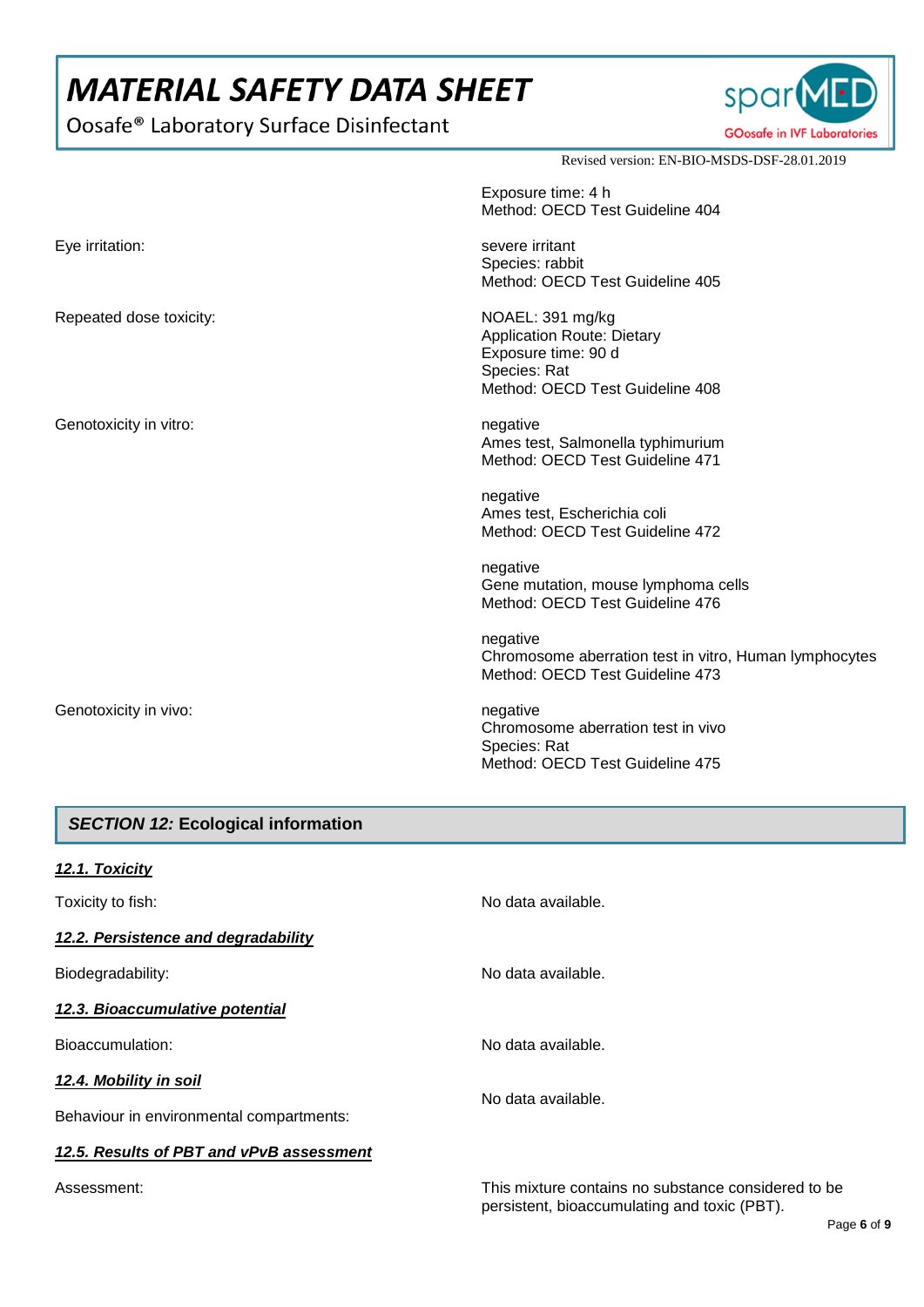Oosafe® Laboratory Surface Disinfectant



Revised version: EN-BIO-MSDS-DSF-28.01.2019

|                         | Exposure time: 4 h<br>Method: OECD Test Guideline 404                                                                           |
|-------------------------|---------------------------------------------------------------------------------------------------------------------------------|
| Eye irritation:         | severe irritant<br>Species: rabbit<br>Method: OECD Test Guideline 405                                                           |
| Repeated dose toxicity: | NOAEL: 391 mg/kg<br><b>Application Route: Dietary</b><br>Exposure time: 90 d<br>Species: Rat<br>Method: OECD Test Guideline 408 |
| Genotoxicity in vitro:  | negative<br>Ames test, Salmonella typhimurium<br>Method: OECD Test Guideline 471                                                |
|                         | negative<br>Ames test, Escherichia coli<br>Method: OECD Test Guideline 472                                                      |
|                         | negative<br>Gene mutation, mouse lymphoma cells<br>Method: OECD Test Guideline 476                                              |
|                         | negative<br>Chromosome aberration test in vitro, Human lymphocytes<br>Method: OECD Test Guideline 473                           |
| Genotoxicity in vivo:   | negative<br>Chromosome aberration test in vivo<br>Species: Rat<br>Method: OECD Test Guideline 475                               |

## *SECTION 12:* **Ecological information**

| 12.1. Toxicity                           |                                                     |  |
|------------------------------------------|-----------------------------------------------------|--|
| Toxicity to fish:                        | No data available.                                  |  |
| 12.2. Persistence and degradability      |                                                     |  |
| Biodegradability:                        | No data available.                                  |  |
| 12.3. Bioaccumulative potential          |                                                     |  |
| Bioaccumulation:                         | No data available.                                  |  |
| 12.4. Mobility in soil                   | No data available.                                  |  |
| Behaviour in environmental compartments: |                                                     |  |
| 12.5. Results of PBT and vPvB assessment |                                                     |  |
| Assessment:                              | This mixture contains no substance considered to be |  |

persistent, bioaccumulating and toxic (PBT).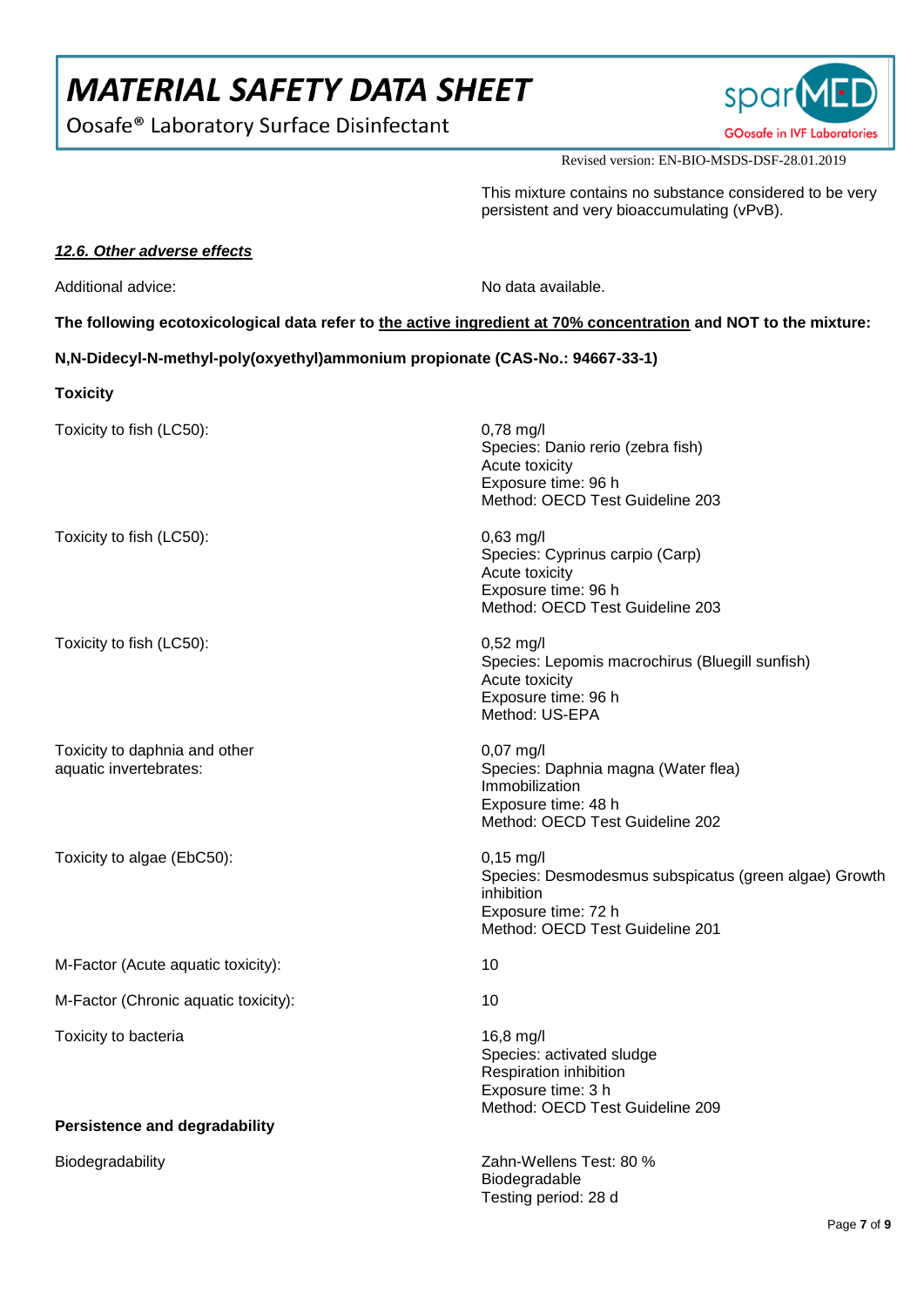Oosafe® Laboratory Surface Disinfectant



Revised version: EN-BIO-MSDS-DSF-28.01.2019

This mixture contains no substance considered to be very persistent and very bioaccumulating (vPvB).

## *12.6. Other adverse effects*

Additional advice: No data available.

**The following ecotoxicological data refer to the active ingredient at 70% concentration and NOT to the mixture:** 

**N,N-Didecyl-N-methyl-poly(oxyethyl)ammonium propionate (CAS-No.: 94667-33-1)**

**Toxicity**

| Toxicity to fish (LC50):                                | $0,78$ mg/l<br>Species: Danio rerio (zebra fish)<br>Acute toxicity<br>Exposure time: 96 h<br>Method: OECD Test Guideline 203                         |
|---------------------------------------------------------|------------------------------------------------------------------------------------------------------------------------------------------------------|
| Toxicity to fish (LC50):                                | 0,63 mg/l<br>Species: Cyprinus carpio (Carp)<br>Acute toxicity<br>Exposure time: 96 h<br>Method: OECD Test Guideline 203                             |
| Toxicity to fish (LC50):                                | $0,52$ mg/l<br>Species: Lepomis macrochirus (Bluegill sunfish)<br>Acute toxicity<br>Exposure time: 96 h<br>Method: US-EPA                            |
| Toxicity to daphnia and other<br>aquatic invertebrates: | $0,07$ mg/l<br>Species: Daphnia magna (Water flea)<br>Immobilization<br>Exposure time: 48 h<br>Method: OECD Test Guideline 202                       |
| Toxicity to algae (EbC50):                              | $0,15 \text{ mg/l}$<br>Species: Desmodesmus subspicatus (green algae) Growth<br>inhibition<br>Exposure time: 72 h<br>Method: OECD Test Guideline 201 |
| M-Factor (Acute aquatic toxicity):                      | 10                                                                                                                                                   |
| M-Factor (Chronic aquatic toxicity):                    | 10                                                                                                                                                   |
| Toxicity to bacteria                                    | 16,8 mg/l<br>Species: activated sludge<br>Respiration inhibition<br>Exposure time: 3 h<br>Method: OECD Test Guideline 209                            |
| <b>Persistence and degradability</b>                    |                                                                                                                                                      |
| Biodegradability                                        | Zahn-Wellens Test: 80 %<br>Biodegradable<br>Testing period: 28 d                                                                                     |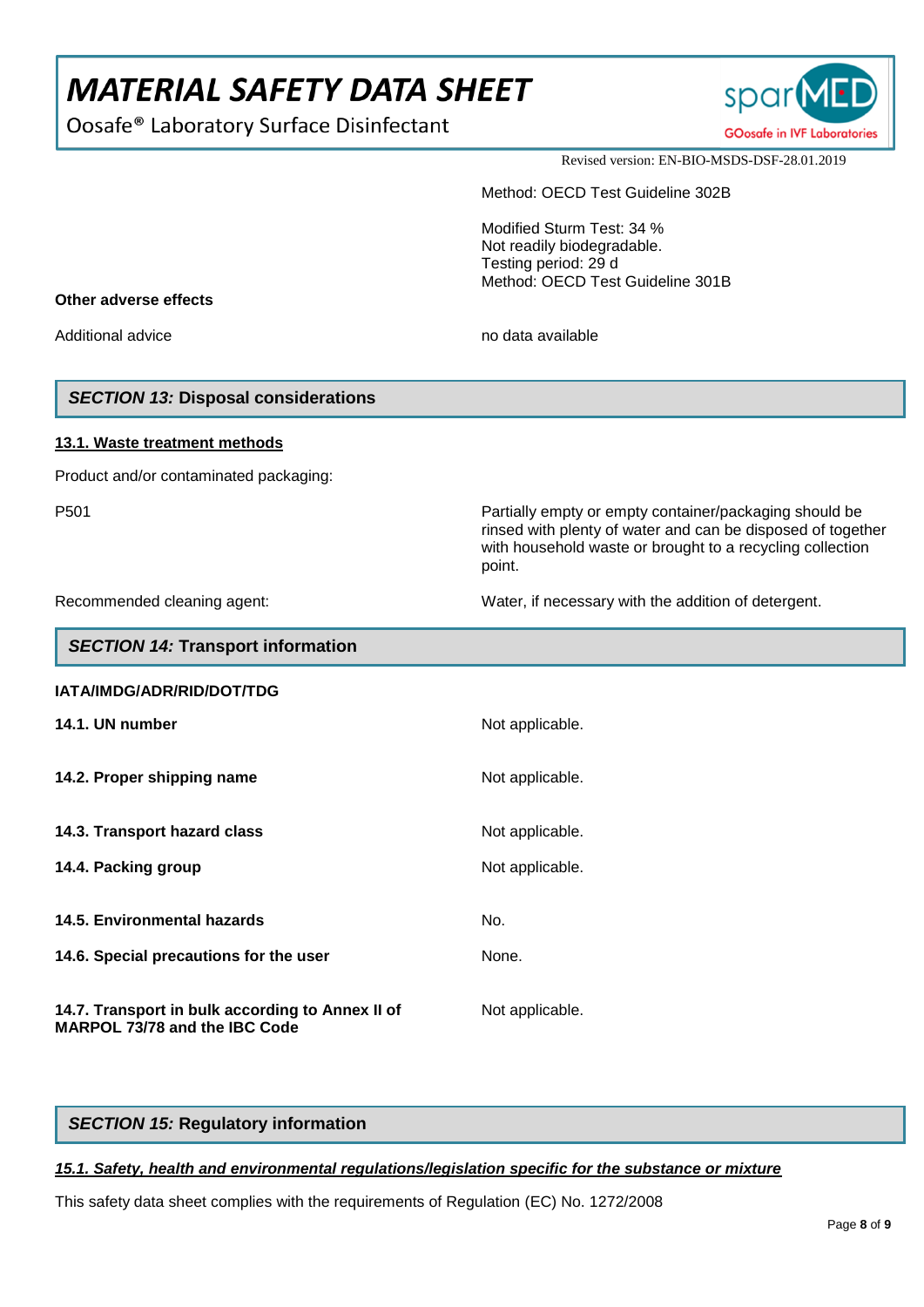Oosafe® Laboratory Surface Disinfectant



Revised version: EN-BIO-MSDS-DSF-28.01.2019

Method: OECD Test Guideline 302B

Modified Sturm Test: 34 % Not readily biodegradable. Testing period: 29 d Method: OECD Test Guideline 301B

#### **Other adverse effects**

Additional advice no data available no data available

## *SECTION 13:* **Disposal considerations**

#### **13.1. Waste treatment methods**

Product and/or contaminated packaging:

*SECTION 14:* **Transport information**

P501 Partially empty or empty container/packaging should be

Recommended cleaning agent: Water, if necessary with the addition of detergent.

rinsed with plenty of water and can be disposed of together with household waste or brought to a recycling collection

| $\frac{1}{2}$                                                                            |                 |
|------------------------------------------------------------------------------------------|-----------------|
| IATA/IMDG/ADR/RID/DOT/TDG                                                                |                 |
| 14.1. UN number                                                                          | Not applicable. |
| 14.2. Proper shipping name                                                               | Not applicable. |
| 14.3. Transport hazard class                                                             | Not applicable. |
| 14.4. Packing group                                                                      | Not applicable. |
| 14.5. Environmental hazards                                                              | No.             |
| 14.6. Special precautions for the user                                                   | None.           |
| 14.7. Transport in bulk according to Annex II of<br><b>MARPOL 73/78 and the IBC Code</b> | Not applicable. |

point.

## *SECTION 15:* **Regulatory information**

## *15.1. Safety, health and environmental regulations/legislation specific for the substance or mixture*

This safety data sheet complies with the requirements of Regulation (EC) No. 1272/2008